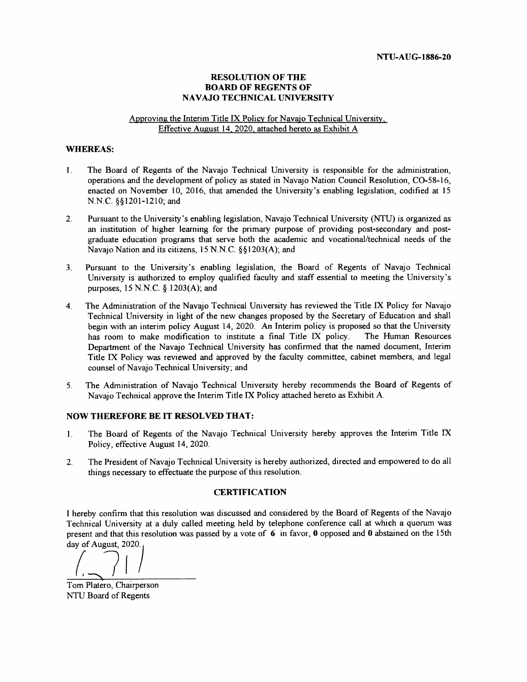#### **RESOLUTION OF THE BOARD OF REGENTS OF NAVAJO TECHNICAL UNIVERSITY**

#### Approving the Interim Title IX Policy for Navajo Technical University, Effective August 14, 2020, attached hereto as Exhibit A

#### **WHEREAS:**

- $\mathbf{1}$ . The Board of Regents of the Navajo Technical University is responsible for the administration, operations and the development of policy as stated in Navajo Nation Council Resolution, CO-58-16, enacted on November 10, 2016, that amended the University's enabling legislation, codified at 15 N.N.C. §§1201-1210; and
- $2.$ Pursuant to the University's enabling legislation, Navajo Technical University (NTU) is organized as an institution of higher learning for the primary purpose of providing post-secondary and postgraduate education programs that serve both the academic and vocational/technical needs of the Navajo Nation and its citizens, 15 N.N.C. §§1203(A); and
- Pursuant to the University's enabling legislation, the Board of Regents of Navajo Technical  $3<sub>1</sub>$ University is authorized to employ qualified faculty and staff essential to meeting the University's purposes, 15 N.N.C.  $\S$  1203(A); and
- The Administration of the Navajo Technical University has reviewed the Title IX Policy for Navajo  $\overline{4}$ . Technical University in light of the new changes proposed by the Secretary of Education and shall begin with an interim policy August 14, 2020. An Interim policy is proposed so that the University has room to make modification to institute a final Title IX policy. The Human Resources Department of the Navajo Technical University has confirmed that the named document, Interim Title IX Policy was reviewed and approved by the faculty committee, cabinet members, and legal counsel of Navajo Technical University; and
- The Administration of Navajo Technical University hereby recommends the Board of Regents of  $5<sub>1</sub>$ Navajo Technical approve the Interim Title IX Policy attached hereto as Exhibit A.

#### **NOW THEREFORE BE IT RESOLVED THAT:**

- The Board of Regents of the Navajo Technical University hereby approves the Interim Title IX 1. Policy, effective August 14, 2020.
- $\overline{2}$ . The President of Navajo Technical University is hereby authorized, directed and empowered to do all things necessary to effectuate the purpose of this resolution.

#### **CERTIFICATION**

I hereby confirm that this resolution was discussed and considered by the Board of Regents of the Navajo Technical University at a duly called meeting held by telephone conference call at which a quorum was present and that this resolution was passed by a vote of 6 in favor, 0 opposed and 0 abstained on the 15th day of August, 2020.

Tom Platero, Chairperson NTU Board of Regents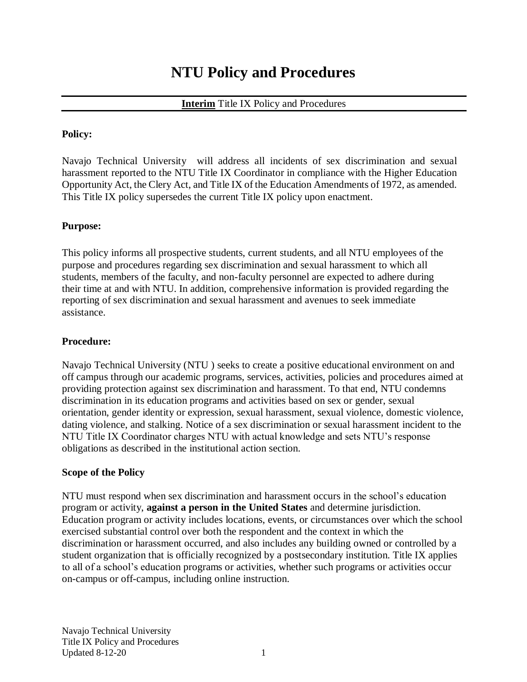# **NTU Policy and Procedures**

### **Interim** Title IX Policy and Procedures

#### **Policy:**

Navajo Technical University will address all incidents of sex discrimination and sexual harassment reported to the NTU Title IX Coordinator in compliance with the Higher Education Opportunity Act, the Clery Act, and Title IX of the Education Amendments of 1972, as amended. This Title IX policy supersedes the current Title IX policy upon enactment.

#### **Purpose:**

This policy informs all prospective students, current students, and all NTU employees of the purpose and procedures regarding sex discrimination and sexual harassment to which all students, members of the faculty, and non-faculty personnel are expected to adhere during their time at and with NTU. In addition, comprehensive information is provided regarding the reporting of sex discrimination and sexual harassment and avenues to seek immediate assistance.

#### **Procedure:**

Navajo Technical University (NTU ) seeks to create a positive educational environment on and off campus through our academic programs, services, activities, policies and procedures aimed at providing protection against sex discrimination and harassment. To that end, NTU condemns discrimination in its education programs and activities based on sex or gender, sexual orientation, gender identity or expression, sexual harassment, sexual violence, domestic violence, dating violence, and stalking. Notice of a sex discrimination or sexual harassment incident to the NTU Title IX Coordinator charges NTU with actual knowledge and sets NTU's response obligations as described in the institutional action section.

#### **Scope of the Policy**

NTU must respond when sex discrimination and harassment occurs in the school's education program or activity, **against a person in the United States** and determine jurisdiction. Education program or activity includes locations, events, or circumstances over which the school exercised substantial control over both the respondent and the context in which the discrimination or harassment occurred, and also includes any building owned or controlled by a student organization that is officially recognized by a postsecondary institution. Title IX applies to all of a school's education programs or activities, whether such programs or activities occur on-campus or off-campus, including online instruction.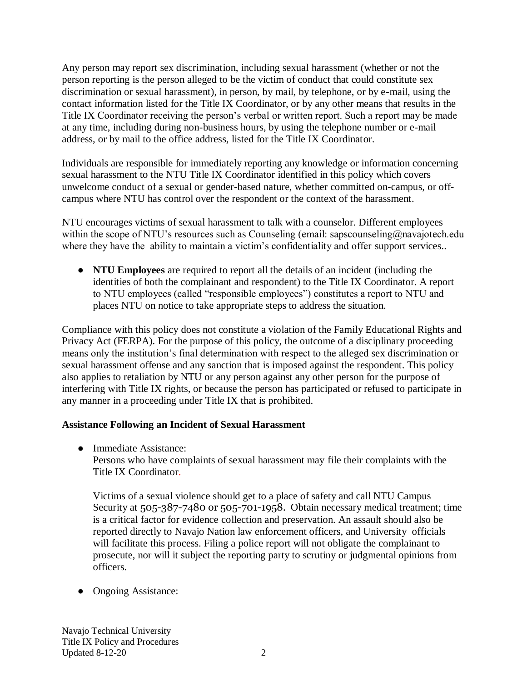Any person may report sex discrimination, including sexual harassment (whether or not the person reporting is the person alleged to be the victim of conduct that could constitute sex discrimination or sexual harassment), in person, by mail, by telephone, or by e-mail, using the contact information listed for the Title IX Coordinator, or by any other means that results in the Title IX Coordinator receiving the person's verbal or written report. Such a report may be made at any time, including during non-business hours, by using the telephone number or e-mail address, or by mail to the office address, listed for the Title IX Coordinator.

Individuals are responsible for immediately reporting any knowledge or information concerning sexual harassment to the NTU Title IX Coordinator identified in this policy which covers unwelcome conduct of a sexual or gender-based nature, whether committed on-campus, or offcampus where NTU has control over the respondent or the context of the harassment.

NTU encourages victims of sexual harassment to talk with a counselor. Different employees within the scope of NTU's resources such as Counseling (email: sapscounseling@navajotech.edu where they have the ability to maintain a victim's confidentiality and offer support services..

● **NTU Employees** are required to report all the details of an incident (including the identities of both the complainant and respondent) to the Title IX Coordinator. A report to NTU employees (called "responsible employees") constitutes a report to NTU and places NTU on notice to take appropriate steps to address the situation.

Compliance with this policy does not constitute a violation of the Family Educational Rights and Privacy Act (FERPA). For the purpose of this policy, the outcome of a disciplinary proceeding means only the institution's final determination with respect to the alleged sex discrimination or sexual harassment offense and any sanction that is imposed against the respondent. This policy also applies to retaliation by NTU or any person against any other person for the purpose of interfering with Title IX rights, or because the person has participated or refused to participate in any manner in a proceeding under Title IX that is prohibited.

## **Assistance Following an Incident of Sexual Harassment**

• Immediate Assistance:

Persons who have complaints of sexual harassment may file their complaints with the Title IX Coordinator.

Victims of a sexual violence should get to a place of safety and call NTU Campus Security at 505-387-7480 or 505-701-1958. Obtain necessary medical treatment; time is a critical factor for evidence collection and preservation. An assault should also be reported directly to Navajo Nation law enforcement officers, and University officials will facilitate this process. Filing a police report will not obligate the complainant to prosecute, nor will it subject the reporting party to scrutiny or judgmental opinions from officers.

• Ongoing Assistance: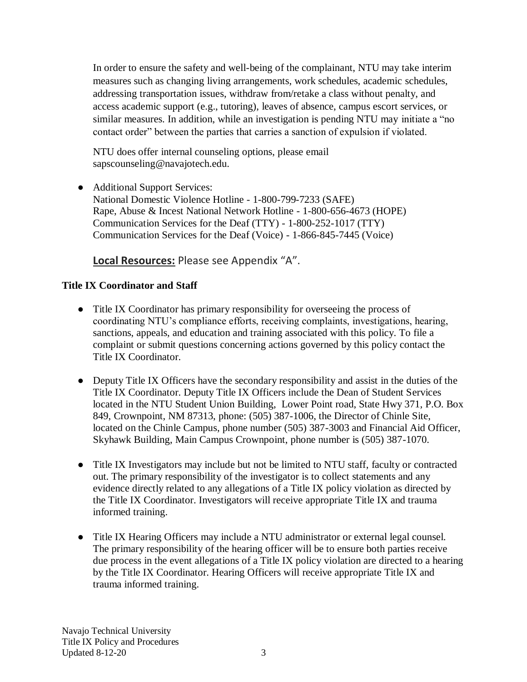In order to ensure the safety and well-being of the complainant, NTU may take interim measures such as changing living arrangements, work schedules, academic schedules, addressing transportation issues, withdraw from/retake a class without penalty, and access academic support (e.g., tutoring), leaves of absence, campus escort services, or similar measures. In addition, while an investigation is pending NTU may initiate a "no contact order" between the parties that carries a sanction of expulsion if violated.

NTU does offer internal counseling options, please email sapscounseling@navajotech.edu.

● Additional Support Services: National Domestic Violence Hotline - 1-800-799-7233 (SAFE) Rape, Abuse & Incest National Network Hotline - 1-800-656-4673 (HOPE) Communication Services for the Deaf (TTY) - 1-800-252-1017 (TTY) Communication Services for the Deaf (Voice) - 1-866-845-7445 (Voice)

# **Local Resources:** Please see Appendix "A".

## **Title IX Coordinator and Staff**

- Title IX Coordinator has primary responsibility for overseeing the process of coordinating NTU's compliance efforts, receiving complaints, investigations, hearing, sanctions, appeals, and education and training associated with this policy. To file a complaint or submit questions concerning actions governed by this policy contact the Title IX Coordinator.
- Deputy Title IX Officers have the secondary responsibility and assist in the duties of the Title IX Coordinator. Deputy Title IX Officers include the Dean of Student Services located in the NTU Student Union Building, Lower Point road, State Hwy 371, P.O. Box 849, Crownpoint, NM 87313, phone: (505) 387-1006, the Director of Chinle Site, located on the Chinle Campus, phone number (505) 387-3003 and Financial Aid Officer, Skyhawk Building, Main Campus Crownpoint, phone number is (505) 387-1070.
- Title IX Investigators may include but not be limited to NTU staff, faculty or contracted out. The primary responsibility of the investigator is to collect statements and any evidence directly related to any allegations of a Title IX policy violation as directed by the Title IX Coordinator. Investigators will receive appropriate Title IX and trauma informed training.
- Title IX Hearing Officers may include a NTU administrator or external legal counsel. The primary responsibility of the hearing officer will be to ensure both parties receive due process in the event allegations of a Title IX policy violation are directed to a hearing by the Title IX Coordinator. Hearing Officers will receive appropriate Title IX and trauma informed training.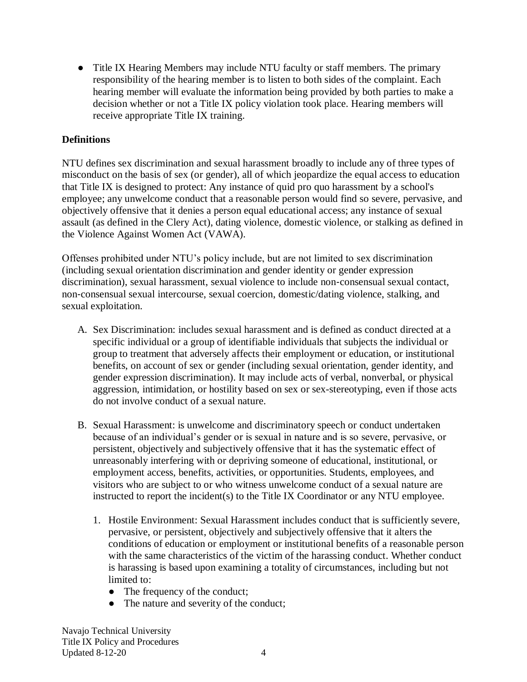• Title IX Hearing Members may include NTU faculty or staff members. The primary responsibility of the hearing member is to listen to both sides of the complaint. Each hearing member will evaluate the information being provided by both parties to make a decision whether or not a Title IX policy violation took place. Hearing members will receive appropriate Title IX training.

### **Definitions**

NTU defines sex discrimination and sexual harassment broadly to include any of three types of misconduct on the basis of sex (or gender), all of which jeopardize the equal access to education that Title IX is designed to protect: Any instance of quid pro quo harassment by a school's employee; any unwelcome conduct that a reasonable person would find so severe, pervasive, and objectively offensive that it denies a person equal educational access; any instance of sexual assault (as defined in the Clery Act), dating violence, domestic violence, or stalking as defined in the Violence Against Women Act (VAWA).

Offenses prohibited under NTU's policy include, but are not limited to sex discrimination (including sexual orientation discrimination and gender identity or gender expression discrimination), sexual harassment, sexual violence to include non‐consensual sexual contact, non‐consensual sexual intercourse, sexual coercion, domestic/dating violence, stalking, and sexual exploitation.

- A. Sex Discrimination: includes sexual harassment and is defined as conduct directed at a specific individual or a group of identifiable individuals that subjects the individual or group to treatment that adversely affects their employment or education, or institutional benefits, on account of sex or gender (including sexual orientation, gender identity, and gender expression discrimination). It may include acts of verbal, nonverbal, or physical aggression, intimidation, or hostility based on sex or sex-stereotyping, even if those acts do not involve conduct of a sexual nature.
- B. Sexual Harassment: is unwelcome and discriminatory speech or conduct undertaken because of an individual's gender or is sexual in nature and is so severe, pervasive, or persistent, objectively and subjectively offensive that it has the systematic effect of unreasonably interfering with or depriving someone of educational, institutional, or employment access, benefits, activities, or opportunities. Students, employees, and visitors who are subject to or who witness unwelcome conduct of a sexual nature are instructed to report the incident(s) to the Title IX Coordinator or any NTU employee.
	- 1. Hostile Environment: Sexual Harassment includes conduct that is sufficiently severe, pervasive, or persistent, objectively and subjectively offensive that it alters the conditions of education or employment or institutional benefits of a reasonable person with the same characteristics of the victim of the harassing conduct. Whether conduct is harassing is based upon examining a totality of circumstances, including but not limited to:
		- The frequency of the conduct;
		- The nature and severity of the conduct;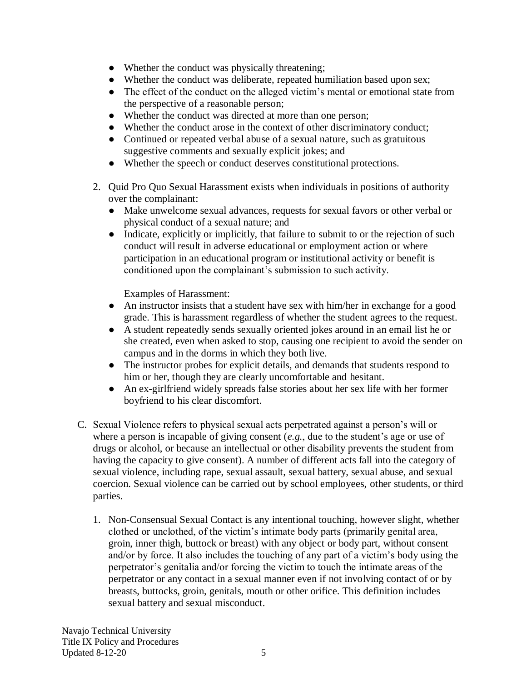- Whether the conduct was physically threatening;
- Whether the conduct was deliberate, repeated humiliation based upon sex;
- The effect of the conduct on the alleged victim's mental or emotional state from the perspective of a reasonable person;
- Whether the conduct was directed at more than one person;
- Whether the conduct arose in the context of other discriminatory conduct;
- Continued or repeated verbal abuse of a sexual nature, such as gratuitous suggestive comments and sexually explicit jokes; and
- Whether the speech or conduct deserves constitutional protections.
- 2. Quid Pro Quo Sexual Harassment exists when individuals in positions of authority over the complainant:
	- Make unwelcome sexual advances, requests for sexual favors or other verbal or physical conduct of a sexual nature; and
	- Indicate, explicitly or implicitly, that failure to submit to or the rejection of such conduct will result in adverse educational or employment action or where participation in an educational program or institutional activity or benefit is conditioned upon the complainant's submission to such activity.

Examples of Harassment:

- An instructor insists that a student have sex with him/her in exchange for a good grade. This is harassment regardless of whether the student agrees to the request.
- A student repeatedly sends sexually oriented jokes around in an email list he or she created, even when asked to stop, causing one recipient to avoid the sender on campus and in the dorms in which they both live.
- The instructor probes for explicit details, and demands that students respond to him or her, though they are clearly uncomfortable and hesitant.
- An ex-girlfriend widely spreads false stories about her sex life with her former boyfriend to his clear discomfort.
- C. Sexual Violence refers to physical sexual acts perpetrated against a person's will or where a person is incapable of giving consent (*e.g.*, due to the student's age or use of drugs or alcohol, or because an intellectual or other disability prevents the student from having the capacity to give consent). A number of different acts fall into the category of sexual violence, including rape, sexual assault, sexual battery, sexual abuse, and sexual coercion. Sexual violence can be carried out by school employees, other students, or third parties.
	- 1. Non-Consensual Sexual Contact is any intentional touching, however slight, whether clothed or unclothed, of the victim's intimate body parts (primarily genital area, groin, inner thigh, buttock or breast) with any object or body part, without consent and/or by force. It also includes the touching of any part of a victim's body using the perpetrator's genitalia and/or forcing the victim to touch the intimate areas of the perpetrator or any contact in a sexual manner even if not involving contact of or by breasts, buttocks, groin, genitals, mouth or other orifice. This definition includes sexual battery and sexual misconduct.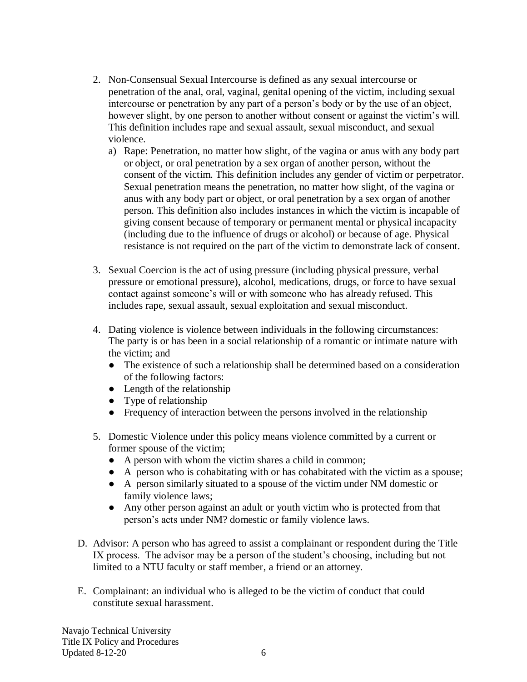- 2. Non-Consensual Sexual Intercourse is defined as any sexual intercourse or penetration of the anal, oral, vaginal, genital opening of the victim, including sexual intercourse or penetration by any part of a person's body or by the use of an object, however slight, by one person to another without consent or against the victim's will. This definition includes rape and sexual assault, sexual misconduct, and sexual violence.
	- a) Rape: Penetration, no matter how slight, of the vagina or anus with any body part or object, or oral penetration by a sex organ of another person, without the consent of the victim. This definition includes any gender of victim or perpetrator. Sexual penetration means the penetration, no matter how slight, of the vagina or anus with any body part or object, or oral penetration by a sex organ of another person. This definition also includes instances in which the victim is incapable of giving consent because of temporary or permanent mental or physical incapacity (including due to the influence of drugs or alcohol) or because of age. Physical resistance is not required on the part of the victim to demonstrate lack of consent.
- 3. Sexual Coercion is the act of using pressure (including physical pressure, verbal pressure or emotional pressure), alcohol, medications, drugs, or force to have sexual contact against someone's will or with someone who has already refused. This includes rape, sexual assault, sexual exploitation and sexual misconduct.
- 4. Dating violence is violence between individuals in the following circumstances: The party is or has been in a social relationship of a romantic or intimate nature with the victim; and
	- The existence of such a relationship shall be determined based on a consideration of the following factors:
	- $\bullet$  Length of the relationship
	- Type of relationship
	- Frequency of interaction between the persons involved in the relationship
- 5. Domestic Violence under this policy means violence committed by a current or former spouse of the victim;
	- A person with whom the victim shares a child in common;
	- A person who is cohabitating with or has cohabitated with the victim as a spouse;
	- A person similarly situated to a spouse of the victim under NM domestic or family violence laws;
	- Any other person against an adult or youth victim who is protected from that person's acts under NM? domestic or family violence laws.
- D. Advisor: A person who has agreed to assist a complainant or respondent during the Title IX process. The advisor may be a person of the student's choosing, including but not limited to a NTU faculty or staff member, a friend or an attorney.
- E. Complainant: an individual who is alleged to be the victim of conduct that could constitute sexual harassment.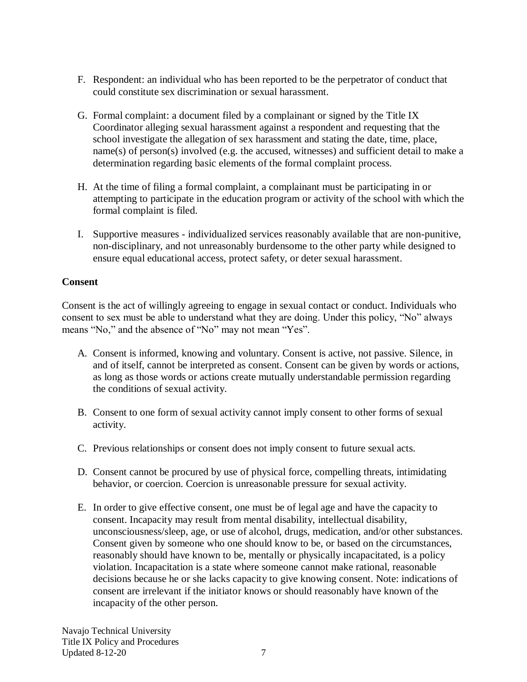- F. Respondent: an individual who has been reported to be the perpetrator of conduct that could constitute sex discrimination or sexual harassment.
- G. Formal complaint: a document filed by a complainant or signed by the Title IX Coordinator alleging sexual harassment against a respondent and requesting that the school investigate the allegation of sex harassment and stating the date, time, place, name(s) of person(s) involved (e.g. the accused, witnesses) and sufficient detail to make a determination regarding basic elements of the formal complaint process.
- H. At the time of filing a formal complaint, a complainant must be participating in or attempting to participate in the education program or activity of the school with which the formal complaint is filed.
- I. Supportive measures individualized services reasonably available that are non-punitive, non-disciplinary, and not unreasonably burdensome to the other party while designed to ensure equal educational access, protect safety, or deter sexual harassment.

### **Consent**

Consent is the act of willingly agreeing to engage in sexual contact or conduct. Individuals who consent to sex must be able to understand what they are doing. Under this policy, "No" always means "No," and the absence of "No" may not mean "Yes".

- A. Consent is informed, knowing and voluntary. Consent is active, not passive. Silence, in and of itself, cannot be interpreted as consent. Consent can be given by words or actions, as long as those words or actions create mutually understandable permission regarding the conditions of sexual activity.
- B. Consent to one form of sexual activity cannot imply consent to other forms of sexual activity.
- C. Previous relationships or consent does not imply consent to future sexual acts.
- D. Consent cannot be procured by use of physical force, compelling threats, intimidating behavior, or coercion. Coercion is unreasonable pressure for sexual activity.
- E. In order to give effective consent, one must be of legal age and have the capacity to consent. Incapacity may result from mental disability, intellectual disability, unconsciousness/sleep, age, or use of alcohol, drugs, medication, and/or other substances. Consent given by someone who one should know to be, or based on the circumstances, reasonably should have known to be, mentally or physically incapacitated, is a policy violation. Incapacitation is a state where someone cannot make rational, reasonable decisions because he or she lacks capacity to give knowing consent. Note: indications of consent are irrelevant if the initiator knows or should reasonably have known of the incapacity of the other person.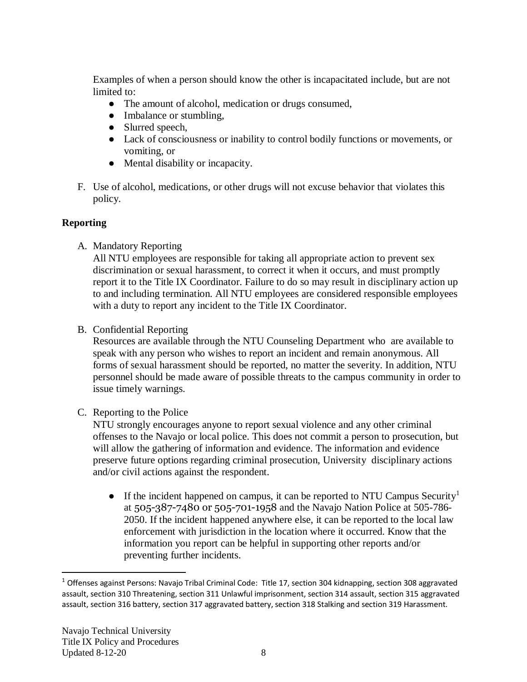Examples of when a person should know the other is incapacitated include, but are not limited to:

- The amount of alcohol, medication or drugs consumed,
- Imbalance or stumbling,
- Slurred speech,
- Lack of consciousness or inability to control bodily functions or movements, or vomiting, or
- Mental disability or incapacity.
- F. Use of alcohol, medications, or other drugs will not excuse behavior that violates this policy.

# **Reporting**

A. Mandatory Reporting

All NTU employees are responsible for taking all appropriate action to prevent sex discrimination or sexual harassment, to correct it when it occurs, and must promptly report it to the Title IX Coordinator. Failure to do so may result in disciplinary action up to and including termination. All NTU employees are considered responsible employees with a duty to report any incident to the Title IX Coordinator.

B. Confidential Reporting

Resources are available through the NTU Counseling Department who are available to speak with any person who wishes to report an incident and remain anonymous. All forms of sexual harassment should be reported, no matter the severity. In addition, NTU personnel should be made aware of possible threats to the campus community in order to issue timely warnings.

## C. Reporting to the Police

NTU strongly encourages anyone to report sexual violence and any other criminal offenses to the Navajo or local police. This does not commit a person to prosecution, but will allow the gathering of information and evidence. The information and evidence preserve future options regarding criminal prosecution, University disciplinary actions and/or civil actions against the respondent.

• If the incident happened on campus, it can be reported to NTU Campus Security<sup>1</sup> at 505-387-7480 or 505-701-1958 and the Navajo Nation Police at 505-786- 2050. If the incident happened anywhere else, it can be reported to the local law enforcement with jurisdiction in the location where it occurred. Know that the information you report can be helpful in supporting other reports and/or preventing further incidents.

 $\overline{a}$ 

<sup>&</sup>lt;sup>1</sup> Offenses against Persons: Navajo Tribal Criminal Code: Title 17, section 304 kidnapping, section 308 aggravated assault, section 310 Threatening, section 311 Unlawful imprisonment, section 314 assault, section 315 aggravated assault, section 316 battery, section 317 aggravated battery, section 318 Stalking and section 319 Harassment.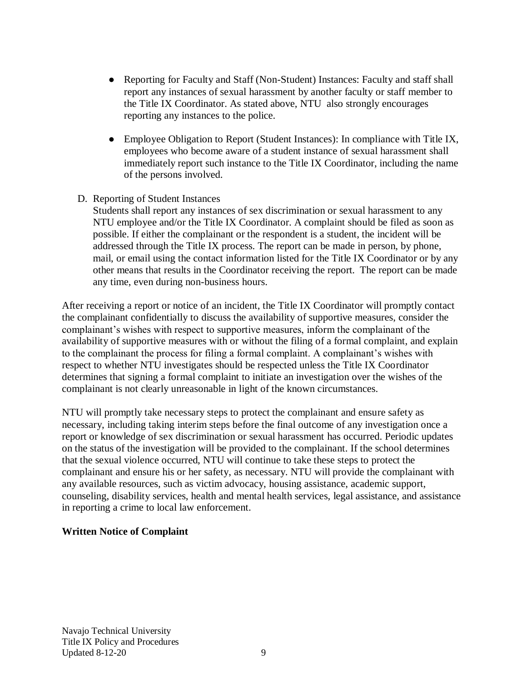- Reporting for Faculty and Staff (Non-Student) Instances: Faculty and staff shall report any instances of sexual harassment by another faculty or staff member to the Title IX Coordinator. As stated above, NTU also strongly encourages reporting any instances to the police.
- Employee Obligation to Report (Student Instances): In compliance with Title IX, employees who become aware of a student instance of sexual harassment shall immediately report such instance to the Title IX Coordinator, including the name of the persons involved.
- D. Reporting of Student Instances

Students shall report any instances of sex discrimination or sexual harassment to any NTU employee and/or the Title IX Coordinator. A complaint should be filed as soon as possible. If either the complainant or the respondent is a student, the incident will be addressed through the Title IX process. The report can be made in person, by phone, mail, or email using the contact information listed for the Title IX Coordinator or by any other means that results in the Coordinator receiving the report. The report can be made any time, even during non-business hours.

After receiving a report or notice of an incident, the Title IX Coordinator will promptly contact the complainant confidentially to discuss the availability of supportive measures, consider the complainant's wishes with respect to supportive measures, inform the complainant of the availability of supportive measures with or without the filing of a formal complaint, and explain to the complainant the process for filing a formal complaint. A complainant's wishes with respect to whether NTU investigates should be respected unless the Title IX Coordinator determines that signing a formal complaint to initiate an investigation over the wishes of the complainant is not clearly unreasonable in light of the known circumstances.

NTU will promptly take necessary steps to protect the complainant and ensure safety as necessary, including taking interim steps before the final outcome of any investigation once a report or knowledge of sex discrimination or sexual harassment has occurred. Periodic updates on the status of the investigation will be provided to the complainant. If the school determines that the sexual violence occurred, NTU will continue to take these steps to protect the complainant and ensure his or her safety, as necessary. NTU will provide the complainant with any available resources, such as victim advocacy, housing assistance, academic support, counseling, disability services, health and mental health services, legal assistance, and assistance in reporting a crime to local law enforcement.

### **Written Notice of Complaint**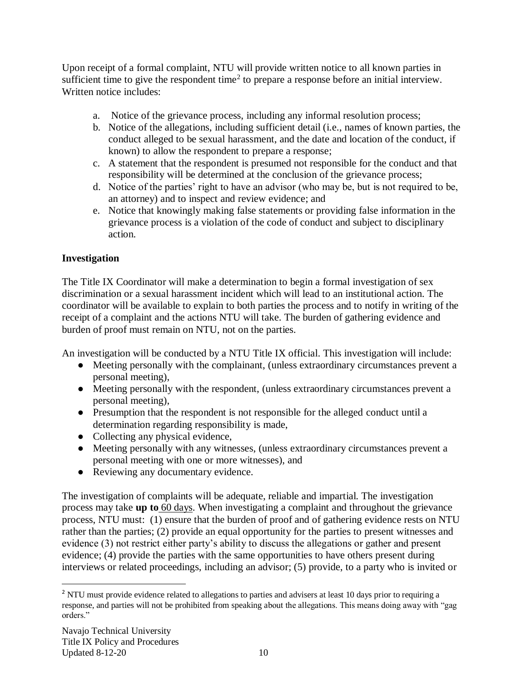Upon receipt of a formal complaint, NTU will provide written notice to all known parties in sufficient time to give the respondent time<sup>2</sup> to prepare a response before an initial interview. Written notice includes:

- a. Notice of the grievance process, including any informal resolution process;
- b. Notice of the allegations, including sufficient detail (i.e., names of known parties, the conduct alleged to be sexual harassment, and the date and location of the conduct, if known) to allow the respondent to prepare a response;
- c. A statement that the respondent is presumed not responsible for the conduct and that responsibility will be determined at the conclusion of the grievance process;
- d. Notice of the parties' right to have an advisor (who may be, but is not required to be, an attorney) and to inspect and review evidence; and
- e. Notice that knowingly making false statements or providing false information in the grievance process is a violation of the code of conduct and subject to disciplinary action.

### **Investigation**

The Title IX Coordinator will make a determination to begin a formal investigation of sex discrimination or a sexual harassment incident which will lead to an institutional action. The coordinator will be available to explain to both parties the process and to notify in writing of the receipt of a complaint and the actions NTU will take. The burden of gathering evidence and burden of proof must remain on NTU, not on the parties.

An investigation will be conducted by a NTU Title IX official. This investigation will include:

- Meeting personally with the complainant, (unless extraordinary circumstances prevent a personal meeting),
- Meeting personally with the respondent, (unless extraordinary circumstances prevent a personal meeting),
- Presumption that the respondent is not responsible for the alleged conduct until a determination regarding responsibility is made,
- Collecting any physical evidence,
- Meeting personally with any witnesses, (unless extraordinary circumstances prevent a personal meeting with one or more witnesses), and
- Reviewing any documentary evidence.

The investigation of complaints will be adequate, reliable and impartial. The investigation process may take **up to** 60 days. When investigating a complaint and throughout the grievance process, NTU must: (1) ensure that the burden of proof and of gathering evidence rests on NTU rather than the parties; (2) provide an equal opportunity for the parties to present witnesses and evidence (3) not restrict either party's ability to discuss the allegations or gather and present evidence; (4) provide the parties with the same opportunities to have others present during interviews or related proceedings, including an advisor; (5) provide, to a party who is invited or

 $\overline{a}$ 

<sup>&</sup>lt;sup>2</sup> NTU must provide evidence related to allegations to parties and advisers at least 10 days prior to requiring a response, and parties will not be prohibited from speaking about the allegations. This means doing away with "gag orders."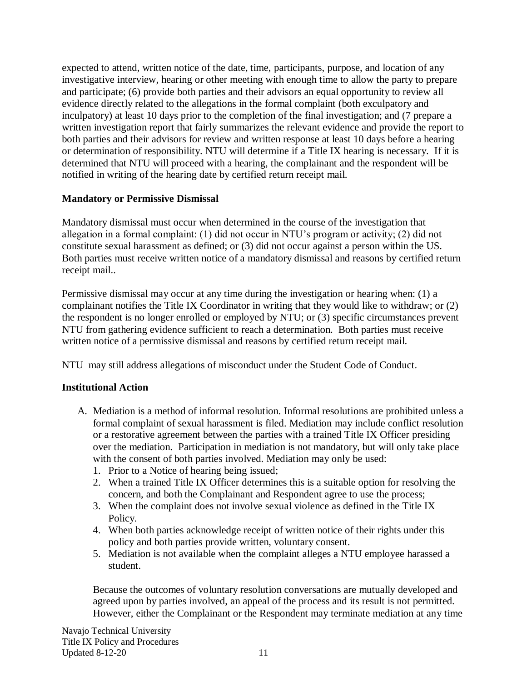expected to attend, written notice of the date, time, participants, purpose, and location of any investigative interview, hearing or other meeting with enough time to allow the party to prepare and participate; (6) provide both parties and their advisors an equal opportunity to review all evidence directly related to the allegations in the formal complaint (both exculpatory and inculpatory) at least 10 days prior to the completion of the final investigation; and (7 prepare a written investigation report that fairly summarizes the relevant evidence and provide the report to both parties and their advisors for review and written response at least 10 days before a hearing or determination of responsibility. NTU will determine if a Title IX hearing is necessary. If it is determined that NTU will proceed with a hearing, the complainant and the respondent will be notified in writing of the hearing date by certified return receipt mail.

## **Mandatory or Permissive Dismissal**

Mandatory dismissal must occur when determined in the course of the investigation that allegation in a formal complaint: (1) did not occur in NTU's program or activity; (2) did not constitute sexual harassment as defined; or (3) did not occur against a person within the US. Both parties must receive written notice of a mandatory dismissal and reasons by certified return receipt mail..

Permissive dismissal may occur at any time during the investigation or hearing when: (1) a complainant notifies the Title IX Coordinator in writing that they would like to withdraw; or (2) the respondent is no longer enrolled or employed by NTU; or (3) specific circumstances prevent NTU from gathering evidence sufficient to reach a determination. Both parties must receive written notice of a permissive dismissal and reasons by certified return receipt mail.

NTU may still address allegations of misconduct under the Student Code of Conduct.

## **Institutional Action**

- A. Mediation is a method of informal resolution. Informal resolutions are prohibited unless a formal complaint of sexual harassment is filed. Mediation may include conflict resolution or a restorative agreement between the parties with a trained Title IX Officer presiding over the mediation. Participation in mediation is not mandatory, but will only take place with the consent of both parties involved. Mediation may only be used:
	- 1. Prior to a Notice of hearing being issued;
	- 2. When a trained Title IX Officer determines this is a suitable option for resolving the concern, and both the Complainant and Respondent agree to use the process;
	- 3. When the complaint does not involve sexual violence as defined in the Title IX Policy.
	- 4. When both parties acknowledge receipt of written notice of their rights under this policy and both parties provide written, voluntary consent.
	- 5. Mediation is not available when the complaint alleges a NTU employee harassed a student.

Because the outcomes of voluntary resolution conversations are mutually developed and agreed upon by parties involved, an appeal of the process and its result is not permitted. However, either the Complainant or the Respondent may terminate mediation at any time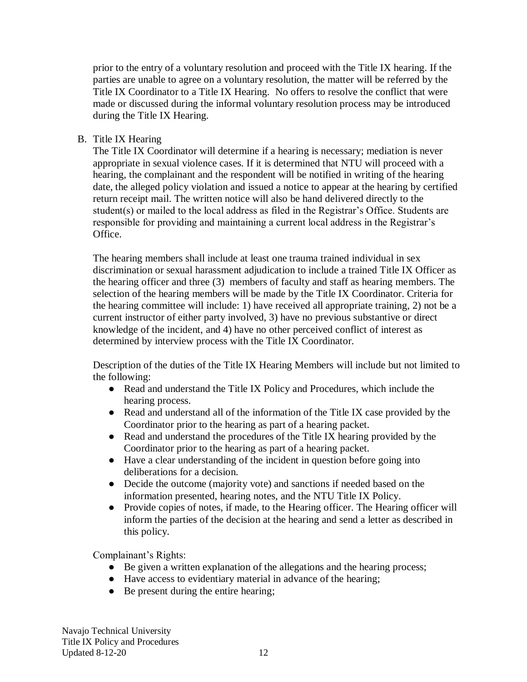prior to the entry of a voluntary resolution and proceed with the Title IX hearing. If the parties are unable to agree on a voluntary resolution, the matter will be referred by the Title IX Coordinator to a Title IX Hearing. No offers to resolve the conflict that were made or discussed during the informal voluntary resolution process may be introduced during the Title IX Hearing.

B. Title IX Hearing

The Title IX Coordinator will determine if a hearing is necessary; mediation is never appropriate in sexual violence cases. If it is determined that NTU will proceed with a hearing, the complainant and the respondent will be notified in writing of the hearing date, the alleged policy violation and issued a notice to appear at the hearing by certified return receipt mail. The written notice will also be hand delivered directly to the student(s) or mailed to the local address as filed in the Registrar's Office. Students are responsible for providing and maintaining a current local address in the Registrar's Office.

The hearing members shall include at least one trauma trained individual in sex discrimination or sexual harassment adjudication to include a trained Title IX Officer as the hearing officer and three (3) members of faculty and staff as hearing members. The selection of the hearing members will be made by the Title IX Coordinator. Criteria for the hearing committee will include: 1) have received all appropriate training, 2) not be a current instructor of either party involved, 3) have no previous substantive or direct knowledge of the incident, and 4) have no other perceived conflict of interest as determined by interview process with the Title IX Coordinator.

Description of the duties of the Title IX Hearing Members will include but not limited to the following:

- Read and understand the Title IX Policy and Procedures, which include the hearing process.
- Read and understand all of the information of the Title IX case provided by the Coordinator prior to the hearing as part of a hearing packet.
- Read and understand the procedures of the Title IX hearing provided by the Coordinator prior to the hearing as part of a hearing packet.
- Have a clear understanding of the incident in question before going into deliberations for a decision.
- Decide the outcome (majority vote) and sanctions if needed based on the information presented, hearing notes, and the NTU Title IX Policy.
- Provide copies of notes, if made, to the Hearing officer. The Hearing officer will inform the parties of the decision at the hearing and send a letter as described in this policy.

Complainant's Rights:

- Be given a written explanation of the allegations and the hearing process;
- Have access to evidentiary material in advance of the hearing;
- Be present during the entire hearing;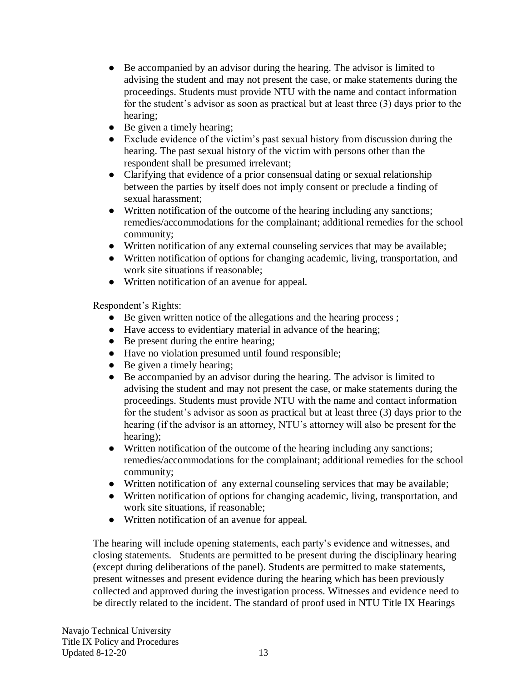- Be accompanied by an advisor during the hearing. The advisor is limited to advising the student and may not present the case, or make statements during the proceedings. Students must provide NTU with the name and contact information for the student's advisor as soon as practical but at least three (3) days prior to the hearing;
- Be given a timely hearing;
- Exclude evidence of the victim's past sexual history from discussion during the hearing. The past sexual history of the victim with persons other than the respondent shall be presumed irrelevant;
- Clarifying that evidence of a prior consensual dating or sexual relationship between the parties by itself does not imply consent or preclude a finding of sexual harassment;
- Written notification of the outcome of the hearing including any sanctions; remedies/accommodations for the complainant; additional remedies for the school community;
- Written notification of any external counseling services that may be available;
- Written notification of options for changing academic, living, transportation, and work site situations if reasonable;
- Written notification of an avenue for appeal.

Respondent's Rights:

- Be given written notice of the allegations and the hearing process;
- Have access to evidentiary material in advance of the hearing;
- Be present during the entire hearing;
- Have no violation presumed until found responsible;
- Be given a timely hearing;
- Be accompanied by an advisor during the hearing. The advisor is limited to advising the student and may not present the case, or make statements during the proceedings. Students must provide NTU with the name and contact information for the student's advisor as soon as practical but at least three (3) days prior to the hearing (if the advisor is an attorney, NTU's attorney will also be present for the hearing);
- Written notification of the outcome of the hearing including any sanctions; remedies/accommodations for the complainant; additional remedies for the school community;
- Written notification of any external counseling services that may be available;
- Written notification of options for changing academic, living, transportation, and work site situations, if reasonable;
- Written notification of an avenue for appeal.

The hearing will include opening statements, each party's evidence and witnesses, and closing statements. Students are permitted to be present during the disciplinary hearing (except during deliberations of the panel). Students are permitted to make statements, present witnesses and present evidence during the hearing which has been previously collected and approved during the investigation process. Witnesses and evidence need to be directly related to the incident. The standard of proof used in NTU Title IX Hearings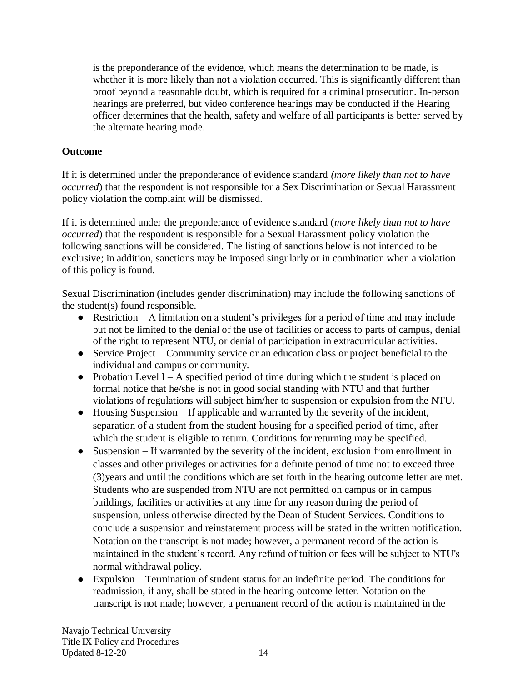is the preponderance of the evidence, which means the determination to be made, is whether it is more likely than not a violation occurred. This is significantly different than proof beyond a reasonable doubt, which is required for a criminal prosecution. In-person hearings are preferred, but video conference hearings may be conducted if the Hearing officer determines that the health, safety and welfare of all participants is better served by the alternate hearing mode.

# **Outcome**

If it is determined under the preponderance of evidence standard *(more likely than not to have occurred*) that the respondent is not responsible for a Sex Discrimination or Sexual Harassment policy violation the complaint will be dismissed.

If it is determined under the preponderance of evidence standard (*more likely than not to have occurred*) that the respondent is responsible for a Sexual Harassment policy violation the following sanctions will be considered. The listing of sanctions below is not intended to be exclusive; in addition, sanctions may be imposed singularly or in combination when a violation of this policy is found.

Sexual Discrimination (includes gender discrimination) may include the following sanctions of the student(s) found responsible.

- Restriction  $-A$  limitation on a student's privileges for a period of time and may include but not be limited to the denial of the use of facilities or access to parts of campus, denial of the right to represent NTU, or denial of participation in extracurricular activities.
- Service Project Community service or an education class or project beneficial to the individual and campus or community.
- Probation Level I A specified period of time during which the student is placed on formal notice that he/she is not in good social standing with NTU and that further violations of regulations will subject him/her to suspension or expulsion from the NTU.
- Housing Suspension If applicable and warranted by the severity of the incident, separation of a student from the student housing for a specified period of time, after which the student is eligible to return. Conditions for returning may be specified.
- Suspension If warranted by the severity of the incident, exclusion from enrollment in classes and other privileges or activities for a definite period of time not to exceed three (3)years and until the conditions which are set forth in the hearing outcome letter are met. Students who are suspended from NTU are not permitted on campus or in campus buildings, facilities or activities at any time for any reason during the period of suspension, unless otherwise directed by the Dean of Student Services. Conditions to conclude a suspension and reinstatement process will be stated in the written notification. Notation on the transcript is not made; however, a permanent record of the action is maintained in the student's record. Any refund of tuition or fees will be subject to NTU's normal withdrawal policy.
- Expulsion Termination of student status for an indefinite period. The conditions for readmission, if any, shall be stated in the hearing outcome letter. Notation on the transcript is not made; however, a permanent record of the action is maintained in the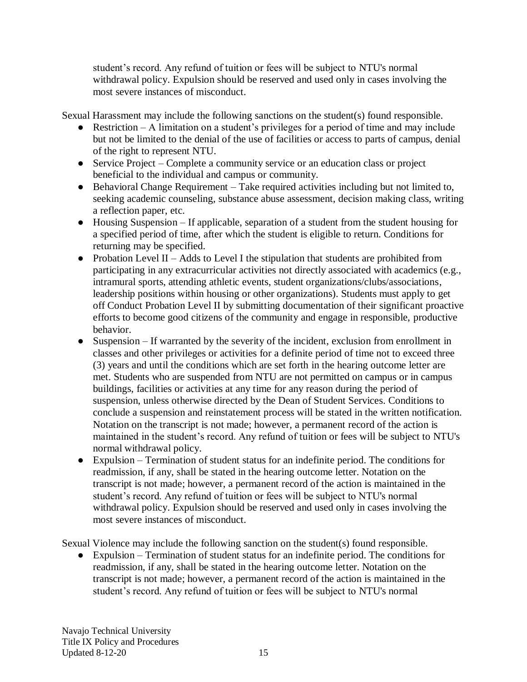student's record. Any refund of tuition or fees will be subject to NTU's normal withdrawal policy. Expulsion should be reserved and used only in cases involving the most severe instances of misconduct.

Sexual Harassment may include the following sanctions on the student(s) found responsible.

- $\bullet$  Restriction A limitation on a student's privileges for a period of time and may include but not be limited to the denial of the use of facilities or access to parts of campus, denial of the right to represent NTU.
- Service Project Complete a community service or an education class or project beneficial to the individual and campus or community.
- Behavioral Change Requirement Take required activities including but not limited to, seeking academic counseling, substance abuse assessment, decision making class, writing a reflection paper, etc.
- Housing Suspension If applicable, separation of a student from the student housing for a specified period of time, after which the student is eligible to return. Conditions for returning may be specified.
- Probation Level II Adds to Level I the stipulation that students are prohibited from participating in any extracurricular activities not directly associated with academics (e.g., intramural sports, attending athletic events, student organizations/clubs/associations, leadership positions within housing or other organizations). Students must apply to get off Conduct Probation Level II by submitting documentation of their significant proactive efforts to become good citizens of the community and engage in responsible, productive behavior.
- Suspension If warranted by the severity of the incident, exclusion from enrollment in classes and other privileges or activities for a definite period of time not to exceed three (3) years and until the conditions which are set forth in the hearing outcome letter are met. Students who are suspended from NTU are not permitted on campus or in campus buildings, facilities or activities at any time for any reason during the period of suspension, unless otherwise directed by the Dean of Student Services. Conditions to conclude a suspension and reinstatement process will be stated in the written notification. Notation on the transcript is not made; however, a permanent record of the action is maintained in the student's record. Any refund of tuition or fees will be subject to NTU's normal withdrawal policy.
- Expulsion Termination of student status for an indefinite period. The conditions for readmission, if any, shall be stated in the hearing outcome letter. Notation on the transcript is not made; however, a permanent record of the action is maintained in the student's record. Any refund of tuition or fees will be subject to NTU's normal withdrawal policy. Expulsion should be reserved and used only in cases involving the most severe instances of misconduct.

Sexual Violence may include the following sanction on the student(s) found responsible.

● Expulsion – Termination of student status for an indefinite period. The conditions for readmission, if any, shall be stated in the hearing outcome letter. Notation on the transcript is not made; however, a permanent record of the action is maintained in the student's record. Any refund of tuition or fees will be subject to NTU's normal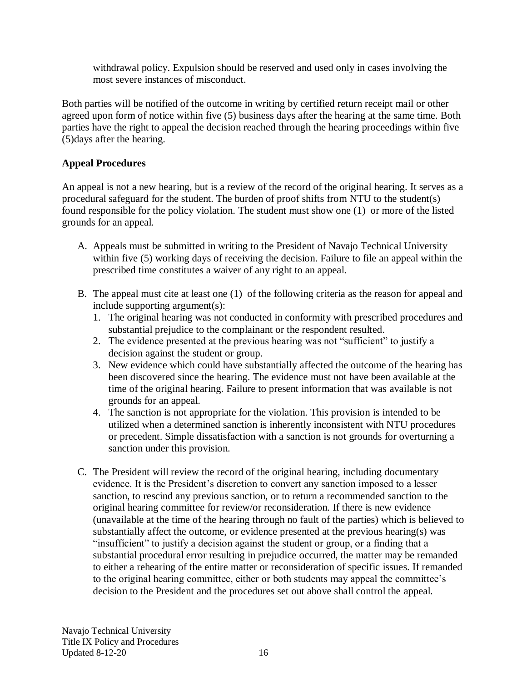withdrawal policy. Expulsion should be reserved and used only in cases involving the most severe instances of misconduct.

Both parties will be notified of the outcome in writing by certified return receipt mail or other agreed upon form of notice within five (5) business days after the hearing at the same time. Both parties have the right to appeal the decision reached through the hearing proceedings within five (5)days after the hearing.

# **Appeal Procedures**

An appeal is not a new hearing, but is a review of the record of the original hearing. It serves as a procedural safeguard for the student. The burden of proof shifts from NTU to the student(s) found responsible for the policy violation. The student must show one (1) or more of the listed grounds for an appeal.

- A. Appeals must be submitted in writing to the President of Navajo Technical University within five (5) working days of receiving the decision. Failure to file an appeal within the prescribed time constitutes a waiver of any right to an appeal.
- B. The appeal must cite at least one (1) of the following criteria as the reason for appeal and include supporting argument(s):
	- 1. The original hearing was not conducted in conformity with prescribed procedures and substantial prejudice to the complainant or the respondent resulted.
	- 2. The evidence presented at the previous hearing was not "sufficient" to justify a decision against the student or group.
	- 3. New evidence which could have substantially affected the outcome of the hearing has been discovered since the hearing. The evidence must not have been available at the time of the original hearing. Failure to present information that was available is not grounds for an appeal.
	- 4. The sanction is not appropriate for the violation. This provision is intended to be utilized when a determined sanction is inherently inconsistent with NTU procedures or precedent. Simple dissatisfaction with a sanction is not grounds for overturning a sanction under this provision.
- C. The President will review the record of the original hearing, including documentary evidence. It is the President's discretion to convert any sanction imposed to a lesser sanction, to rescind any previous sanction, or to return a recommended sanction to the original hearing committee for review/or reconsideration. If there is new evidence (unavailable at the time of the hearing through no fault of the parties) which is believed to substantially affect the outcome, or evidence presented at the previous hearing(s) was "insufficient" to justify a decision against the student or group, or a finding that a substantial procedural error resulting in prejudice occurred, the matter may be remanded to either a rehearing of the entire matter or reconsideration of specific issues. If remanded to the original hearing committee, either or both students may appeal the committee's decision to the President and the procedures set out above shall control the appeal.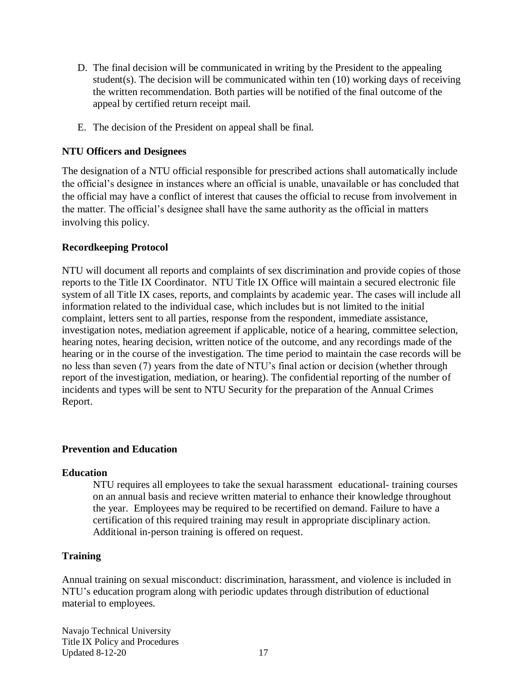- D. The final decision will be communicated in writing by the President to the appealing student(s). The decision will be communicated within ten (10) working days of receiving the written recommendation. Both parties will be notified of the final outcome of the appeal by certified return receipt mail.
- E. The decision of the President on appeal shall be final.

#### **NTU Officers and Designees**

The designation of a NTU official responsible for prescribed actions shall automatically include the official's designee in instances where an official is unable, unavailable or has concluded that the official may have a conflict of interest that causes the official to recuse from involvement in the matter. The official's designee shall have the same authority as the official in matters involving this policy.

#### **Recordkeeping Protocol**

NTU will document all reports and complaints of sex discrimination and provide copies of those reports to the Title IX Coordinator. NTU Title IX Office will maintain a secured electronic file system of all Title IX cases, reports, and complaints by academic year. The cases will include all information related to the individual case, which includes but is not limited to the initial complaint, letters sent to all parties, response from the respondent, immediate assistance, investigation notes, mediation agreement if applicable, notice of a hearing, committee selection, hearing notes, hearing decision, written notice of the outcome, and any recordings made of the hearing or in the course of the investigation. The time period to maintain the case records will be no less than seven (7) years from the date of NTU's final action or decision (whether through report of the investigation, mediation, or hearing). The confidential reporting of the number of incidents and types will be sent to NTU Security for the preparation of the Annual Crimes Report.

#### **Prevention and Education**

#### **Education**

NTU requires all employees to take the sexual harassment educational- training courses on an annual basis and recieve written material to enhance their knowledge throughout the year. Employees may be required to be recertified on demand. Failure to have a certification of this required training may result in appropriate disciplinary action. Additional in-person training is offered on request.

#### **Training**

Annual training on sexual misconduct: discrimination, harassment, and violence is included in NTU's education program along with periodic updates through distribution of eductional material to employees.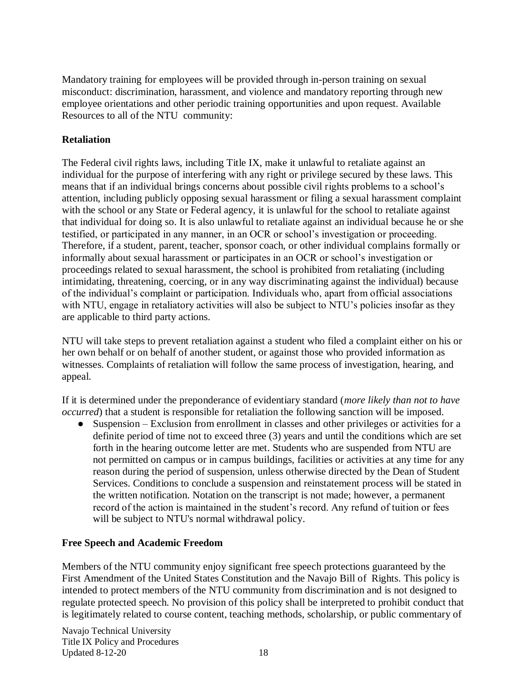Mandatory training for employees will be provided through in-person training on sexual misconduct: discrimination, harassment, and violence and mandatory reporting through new employee orientations and other periodic training opportunities and upon request. Available Resources to all of the NTU community:

### **Retaliation**

The Federal civil rights laws, including Title IX, make it unlawful to retaliate against an individual for the purpose of interfering with any right or privilege secured by these laws. This means that if an individual brings concerns about possible civil rights problems to a school's attention, including publicly opposing sexual harassment or filing a sexual harassment complaint with the school or any State or Federal agency, it is unlawful for the school to retaliate against that individual for doing so. It is also unlawful to retaliate against an individual because he or she testified, or participated in any manner, in an OCR or school's investigation or proceeding. Therefore, if a student, parent, teacher, sponsor coach, or other individual complains formally or informally about sexual harassment or participates in an OCR or school's investigation or proceedings related to sexual harassment, the school is prohibited from retaliating (including intimidating, threatening, coercing, or in any way discriminating against the individual) because of the individual's complaint or participation. Individuals who, apart from official associations with NTU, engage in retaliatory activities will also be subject to NTU's policies insofar as they are applicable to third party actions.

NTU will take steps to prevent retaliation against a student who filed a complaint either on his or her own behalf or on behalf of another student, or against those who provided information as witnesses. Complaints of retaliation will follow the same process of investigation, hearing, and appeal.

If it is determined under the preponderance of evidentiary standard (*more likely than not to have occurred*) that a student is responsible for retaliation the following sanction will be imposed.

● Suspension – Exclusion from enrollment in classes and other privileges or activities for a definite period of time not to exceed three (3) years and until the conditions which are set forth in the hearing outcome letter are met. Students who are suspended from NTU are not permitted on campus or in campus buildings, facilities or activities at any time for any reason during the period of suspension, unless otherwise directed by the Dean of Student Services. Conditions to conclude a suspension and reinstatement process will be stated in the written notification. Notation on the transcript is not made; however, a permanent record of the action is maintained in the student's record. Any refund of tuition or fees will be subject to NTU's normal withdrawal policy.

## **Free Speech and Academic Freedom**

Members of the NTU community enjoy significant free speech protections guaranteed by the First Amendment of the United States Constitution and the Navajo Bill of Rights. This policy is intended to protect members of the NTU community from discrimination and is not designed to regulate protected speech. No provision of this policy shall be interpreted to prohibit conduct that is legitimately related to course content, teaching methods, scholarship, or public commentary of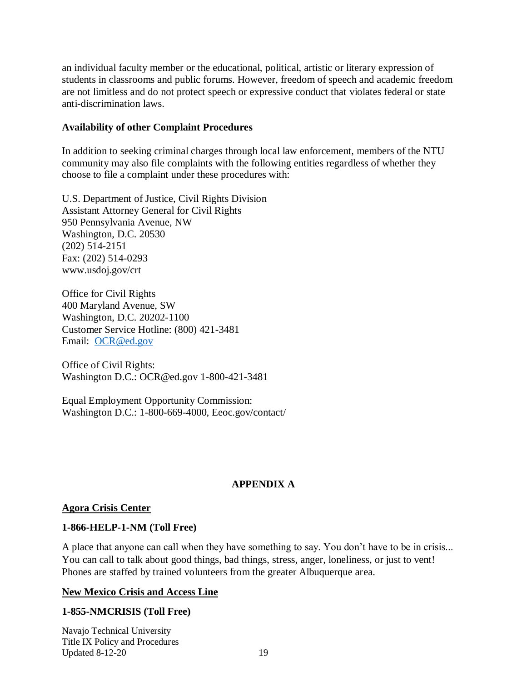an individual faculty member or the educational, political, artistic or literary expression of students in classrooms and public forums. However, freedom of speech and academic freedom are not limitless and do not protect speech or expressive conduct that violates federal or state anti-discrimination laws.

#### **Availability of other Complaint Procedures**

In addition to seeking criminal charges through local law enforcement, members of the NTU community may also file complaints with the following entities regardless of whether they choose to file a complaint under these procedures with:

U.S. Department of Justice, Civil Rights Division Assistant Attorney General for Civil Rights 950 Pennsylvania Avenue, NW Washington, D.C. 20530 (202) 514-2151 Fax: (202) 514-0293 www.usdoj.gov/crt

Office for Civil Rights 400 Maryland Avenue, SW Washington, D.C. 20202-1100 Customer Service Hotline: (800) 421-3481 Email: [OCR@ed.gov](mailto:OCR@ed.gov)

Office of Civil Rights: Washington D.C.: OCR@ed.gov 1-800-421-3481

Equal Employment Opportunity Commission: Washington D.C.: 1-800-669-4000, Eeoc.gov/contact/

## **APPENDIX A**

### **[Agora Crisis Center](http://www.agoracares.org/)**

### **1-866-HELP-1-NM (Toll Free)**

A place that anyone can call when they have something to say. You don't have to be in crisis... You can call to talk about good things, bad things, stress, anger, loneliness, or just to vent! Phones are staffed by trained volunteers from the greater Albuquerque area.

### **[New Mexico Crisis and Access Line](https://www.nmcrisisline.com/)**

### **1-855-NMCRISIS (Toll Free)**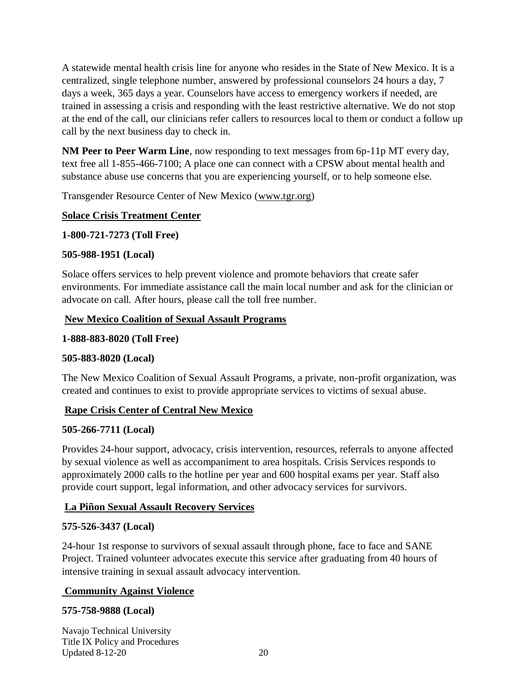A statewide mental health crisis line for anyone who resides in the State of New Mexico. It is a centralized, single telephone number, answered by professional counselors 24 hours a day, 7 days a week, 365 days a year. Counselors have access to emergency workers if needed, are trained in assessing a crisis and responding with the least restrictive alternative. We do not stop at the end of the call, our clinicians refer callers to resources local to them or conduct a follow up call by the next business day to check in.

**NM Peer to Peer Warm Line**, now responding to text messages from 6p-11p MT every day, text free all 1-855-466-7100; A place one can connect with a CPSW about mental health and substance abuse use concerns that you are experiencing yourself, or to help someone else.

Transgender Resource Center of New Mexico [\(www.tgr.org\)](http://www.tgrcnm.org/)

### **[Solace Crisis Treatment Center](https://www.findsolace.org/)**

### **1-800-721-7273 (Toll Free)**

### **505-988-1951 (Local)**

Solace offers services to help prevent violence and promote behaviors that create safer environments. For immediate assistance call the main local number and ask for the clinician or advocate on call. After hours, please call the toll free number.

### **[New Mexico Coalition of Sexual Assault Programs](https://nmcsap.org/)**

### **1-888-883-8020 (Toll Free)**

## **505-883-8020 (Local)**

The New Mexico Coalition of Sexual Assault Programs, a private, non-profit organization, was created and continues to exist to provide appropriate services to victims of sexual abuse.

## **[Rape Crisis Center of Central New Mexico](http://www.rapecrisiscnm.org/)**

### **505-266-7711 (Local)**

Provides 24-hour support, advocacy, crisis intervention, resources, referrals to anyone affected by sexual violence as well as accompaniment to area hospitals. Crisis Services responds to approximately 2000 calls to the hotline per year and 600 hospital exams per year. Staff also provide court support, legal information, and other advocacy services for survivors.

## **[La Piñon Sexual Assault Recovery Services](https://www.lapinon.org/)**

## **575-526-3437 (Local)**

24-hour 1st response to survivors of sexual assault through phone, face to face and SANE Project. Trained volunteer advocates execute this service after graduating from 40 hours of intensive training in sexual assault advocacy intervention.

## **[Community Against Violence](http://taoscav.org/)**

### **575-758-9888 (Local)**